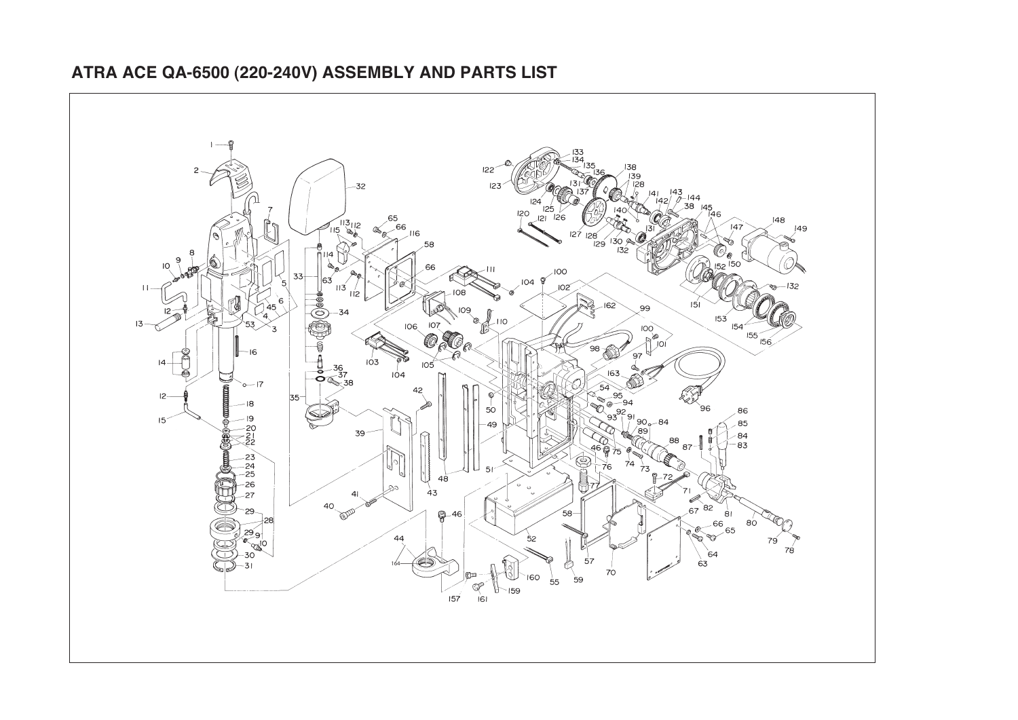

## **ATRA ACE QA-6500 (220-240V) ASSEMBLY AND PARTS LIST**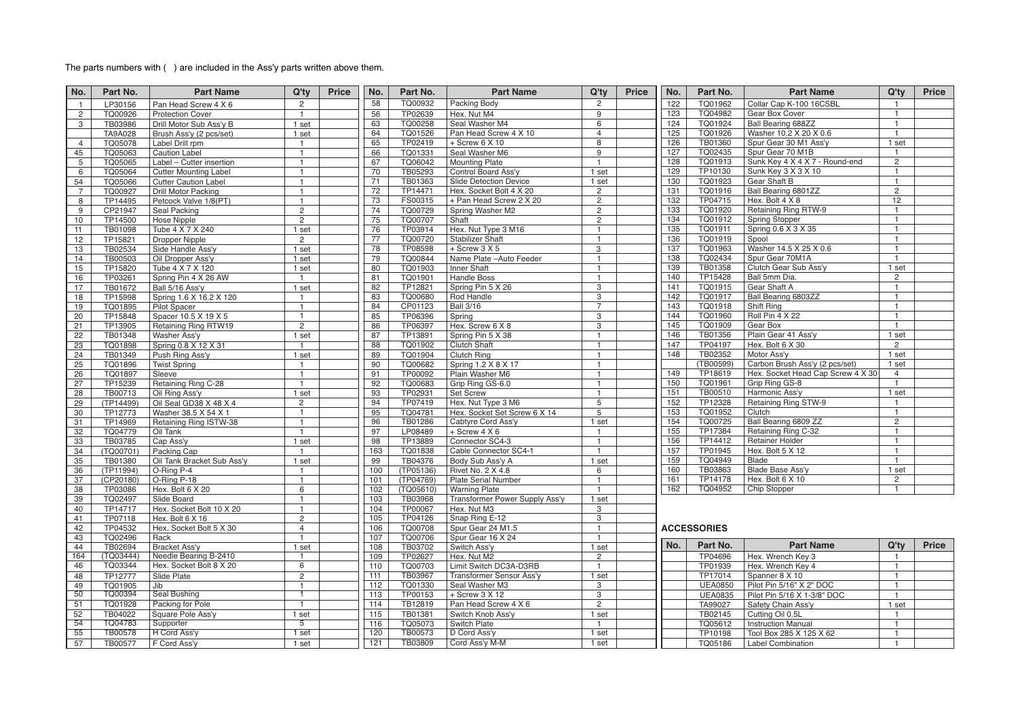## The parts numbers with ( ) are included in the Ass'y parts written above them.

| No.             | Part No.       | <b>Part Name</b>             | Q'ty           | <b>Price</b> | No. | Part No.  | <b>Part Name</b>               | Q'ty            | Price | No. | Part No.           | <b>Part Name</b>                  | Q'ty                  | <b>Price</b> |
|-----------------|----------------|------------------------------|----------------|--------------|-----|-----------|--------------------------------|-----------------|-------|-----|--------------------|-----------------------------------|-----------------------|--------------|
| $\mathbf{1}$    | LP30156        | Pan Head Screw 4 X 6         | $\overline{2}$ |              | 58  | TQ00932   | Packing Body                   | $\overline{2}$  |       | 122 | TQ01962            | Collar Cap K-100 16CSBL           | $\mathbf{1}$          |              |
| $\overline{2}$  | TQ00926        | <b>Protection Cover</b>      | $\overline{1}$ |              | 56  | TP02639   | Hex. Nut M4                    | 9               |       | 123 | TQ04982            | Gear Box Cover                    | $\mathbf{1}$          |              |
| 3               | TB03986        | Drill Motor Sub Ass'v B      | 1 set          |              | 63  | TQ00258   | Seal Washer M4                 | 6               |       | 124 | TQ01924            | <b>Ball Bearing 688ZZ</b>         | $\mathbf{1}$          |              |
|                 | <b>TA9A028</b> | Brush Ass'y (2 pcs/set)      | 1 set          |              | 64  | TQ01526   | Pan Head Screw 4 X 10          | $\overline{4}$  |       | 125 | TQ01926            | Washer 10.2 X 20 X 0.6            | $\mathbf{1}$          |              |
| $\overline{4}$  | TQ05078        | Label Drill rpm              | $\overline{1}$ |              | 65  | TP02419   | $+$ Screw 6 X 10               | $\overline{8}$  |       | 126 | TB01360            | Spur Gear 30 M1 Ass'y             | 1 set                 |              |
| 45              | TQ05063        | <b>Caution Label</b>         | $\overline{1}$ |              | 66  | TQ01331   | Seal Washer M6                 | $\overline{9}$  |       | 127 | TQ02435            | Spur Gear 70 M1B                  | $\mathbf{1}$          |              |
| 5               | TQ05065        | Label - Cutter insertion     | $\mathbf{1}$   |              | 67  | TQ06042   | <b>Mounting Plate</b>          | $\overline{1}$  |       | 128 | TQ01913            | Sunk Key 4 X 4 X 7 - Round-end    | $\overline{2}$        |              |
| 6               | TQ05064        | <b>Cutter Mounting Label</b> | $\overline{1}$ |              | 70  | TB05293   | Control Board Ass'y            | 1 set           |       | 129 | TP10130            | Sunk Key 3 X 3 X 10               | $\mathbf{1}$          |              |
| 54              | TQ05066        | <b>Cutter Caution Label</b>  | $\overline{1}$ |              | 71  | TB01363   | Slide Detection Device         | 1 set           |       | 130 | TQ01923            | Gear Shaft B                      | $\mathbf{1}$          |              |
| $\overline{7}$  | TQ00927        | <b>Drill Motor Packing</b>   | $\mathbf{1}$   |              | 72  | TP14471   | Hex. Socket Bolt 4 X 20        | $\overline{2}$  |       | 131 | TQ01916            | Ball Bearing 6801ZZ               | $\overline{2}$        |              |
| 8               | TP14495        | Petcock Valve 1/8(PT)        | $\overline{1}$ |              | 73  | FS00315   | + Pan Head Screw 2 X 20        | $\overline{2}$  |       | 132 | TP04715            | Hex. Bolt 4 X 8                   | 12 <sup>°</sup>       |              |
| 9               | CP21947        | Seal Packing                 | $\overline{2}$ |              | 74  | TQ00729   | Spring Washer M2               | $\overline{2}$  |       | 133 | TQ01920            | Retaining Ring RTW-9              | $\mathbf{1}$          |              |
| 10              | TP14500        | <b>Hose Nipple</b>           | $\overline{2}$ |              | 75  | TQ00707   | Shaft                          | $\overline{2}$  |       | 134 | TQ01912            | <b>Spring Stopper</b>             | $\mathbf{1}$          |              |
| 11              | TB01098        | Tube 4 X 7 X 240             | 1 set          |              | 76  | TP03914   | Hex. Nut Type 3 M16            | $\mathbf{1}$    |       | 135 | TQ01911            | Spring 0.6 X 3 X 35               | $\overline{1}$        |              |
| 12              | TP15821        | <b>Dropper Nipple</b>        | $\overline{2}$ |              | 77  | TQ00720   | <b>Stabilizer Shaft</b>        | $\mathbf{1}$    |       | 136 | TQ01919            | Spool                             | $\mathbf{1}$          |              |
| 13              | TB02534        | Side Handle Ass'y            | 1 set          |              | 78  | TP08598   | $+$ Screw 3 $\times$ 5         | 3               |       | 137 | TQ01963            | Washer 14.5 X 25 X 0.6            | $\mathbf{1}$          |              |
| 14              | TB00503        | Oil Dropper Ass'y            | 1 set          |              | 79  | TQ00844   | Name Plate - Auto Feeder       | $\mathbf{1}$    |       | 138 | TQ02434            | Spur Gear 70M1A                   | $\overline{1}$        |              |
| 15              | TP15820        | Tube 4 X 7 X 120             | 1 set          |              | 80  | TQ01903   | Inner Shaft                    | $\mathbf{1}$    |       | 139 | TB01358            | Clutch Gear Sub Ass'y             | 1 set                 |              |
| 16              | TP03261        | Spring Pin 4 X 26 AW         | $\overline{1}$ |              | 81  | TQ01901   | Handle Boss                    | $\mathbf{1}$    |       | 140 | TP15428            | Ball 5mm Dia.                     | $\overline{2}$        |              |
| 17              | TB01672        | Ball 5/16 Ass'y              | 1 set          |              | 82  | TP12821   | Spring Pin 5 X 26              | $\overline{3}$  |       | 141 | TQ01915            | Gear Shaft A                      | $\mathbf{1}$          |              |
| 18              | TP15998        | Spring 1.6 X 16.2 X 120      | $\mathbf{1}$   |              | 83  | TQ00680   | Rod Handle                     | 3               |       | 142 | TQ01917            | Ball Bearing 6803ZZ               | $\overline{1}$        |              |
| 19              | TQ01895        | <b>Pilot Spacer</b>          | $\mathbf{1}$   |              | 84  | CP01123   | <b>Ball 3/16</b>               | $\overline{7}$  |       | 143 | TQ01918            | Shift Ring                        | $\mathbf{1}$          |              |
| 20              | TP15848        | Spacer 10.5 X 19 X 5         | $\overline{1}$ |              | 85  | TP06396   | Spring                         | 3               |       | 144 | TQ01960            | <b>Roll Pin 4 X 22</b>            | $\overline{1}$        |              |
| 21              | TP13905        | Retaining Ring RTW19         | $\overline{2}$ |              | 86  | TP06397   | Hex. Screw 6 X 8               | 3               |       | 145 | TQ01909            | Gear Box                          | $\mathbf{1}$          |              |
| 22              | TB01348        | Washer Ass'y                 | 1 set          |              | 87  | TP13891   | Spring Pin 5 X 38              | $\overline{1}$  |       | 146 | TB01356            | Plain Gear 41 Ass'y               | 1 set                 |              |
| $\overline{23}$ | <b>TQ01898</b> | Spring 0.8 X 12 X 31         | $\overline{1}$ |              | 88  | TQ01902   | <b>Clutch Shaft</b>            | $\mathbf{1}$    |       | 147 | TP04197            | Hex. Bolt 6 X 30                  | $\mathbf{2}^{\prime}$ |              |
| 24              | TB01349        | Push Ring Ass'y              | 1 set          |              | 89  | TQ01904   | <b>Clutch Ring</b>             | $\mathbf{1}$    |       | 148 | TB02352            | Motor Ass'y                       | 1 set                 |              |
| 25              | TQ01896        | <b>Twist Spring</b>          | $\overline{1}$ |              | 90  | TQ00682   | Spring 1.2 X 8 X 17            | $\mathbf{1}$    |       |     | (TB00599)          | Carbon Brush Ass'y (2 pcs/set)    | 1 set                 |              |
| 26              | TQ01897        | Sleeve                       | $\overline{1}$ |              | 91  | TP00092   | Plain Washer M6                | $\mathbf{1}$    |       | 149 | TP18619            | Hex. Socket Head Cap Screw 4 X 30 | $\overline{4}$        |              |
| 27              | TP15239        | Retaining Ring C-28          | $\overline{1}$ |              | 92  | TQ00683   | Grip Ring GS-6.0               | $\mathbf{1}$    |       | 150 | TQ01961            | Grip Ring GS-8                    | $\mathbf{1}$          |              |
| 28              | TB00713        | Oil Ring Ass'y               | 1 set          |              | 93  | TP02931   | <b>Set Screw</b>               | $\mathbf{1}$    |       | 151 | TB00510            | Harmonic Ass'y                    | 1 set                 |              |
| 29              | (TP14499)      | Oil Seal GD38 X 48 X 4       | $\overline{2}$ |              | 94  | TP07419   | Hex. Nut Type 3 M6             | $\overline{5}$  |       | 152 | TP12328            | Retaining Ring STW-9              | $\mathbf{1}$          |              |
| 30              | TP12773        | Washer 38.5 X 54 X 1         | $\mathbf{1}$   |              | 95  | TQ04781   | Hex. Socket Set Screw 6 X 14   | $5\overline{)}$ |       | 153 | TQ01952            | Clutch                            | $\mathbf{1}$          |              |
| 31              | TP14969        | Retaining Ring ISTW-38       | $\mathbf{1}$   |              | 96  | TB01286   | Cabtyre Cord Ass'y             | 1 set           |       | 154 | TQ00725            | Ball Bearing 6809 ZZ              | $\overline{2}$        |              |
| 32              | TQ04779        | Oil Tank                     | $\mathbf{1}$   |              | 97  | LP08489   | $+$ Screw 4 X 6                | $\mathbf{1}$    |       | 155 | TP17384            | Retaining Ring C-32               | $\mathbf{1}$          |              |
| 33              | TB03785        | Cap Ass'y                    | 1 set          |              | 98  | TP13889   | Connector SC4-3                | $\mathbf{1}$    |       | 156 | TP14412            | <b>Retainer Holder</b>            | $\mathbf{1}$          |              |
| 34              | (TQ00701)      | Packing Cap                  | $\overline{1}$ |              | 163 | TQ01838   | Cable Connector SC4-1          | $\mathbf{1}$    |       | 157 | TP01945            | Hex. Bolt 5 X 12                  | $\mathbf{1}$          |              |
| 35              | TB01380        | Oil Tank Bracket Sub Ass'y   | 1 set          |              | 99  | TB04376   | Body Sub Ass'y A               | 1 set           |       | 159 | TQ04949            | <b>Blade</b>                      | $\mathbf{1}$          |              |
| 36              | (TP11994)      | O-Ring P-4                   | $\mathbf{1}$   |              | 100 | (TP05136) | Rivet No. 2 X 4.8              | 6               |       | 160 | TB03863            | Blade Base Ass'y                  | 1 set                 |              |
| 37              | (CP20180)      | O-Ring P-18                  | $\mathbf{1}$   |              | 101 | (TP04769) | Plate Serial Number            | $\mathbf{1}$    |       | 161 | TP14178            | Hex. Bolt 6 X 10                  | $\mathbf{2}^{\prime}$ |              |
| 38              | TP03086        | Hex. Bolt 6 X 20             | 6              |              | 102 | (TQ05610) | <b>Warning Plate</b>           | $\mathbf{1}$    |       | 162 | TQ04952            | Chip Stopper                      | $\mathbf{1}$          |              |
| 39              | TQ02497        | Slide Board                  | $\mathbf{1}$   |              | 103 | TB03968   | Transformer Power Supply Ass'y | 1 set           |       |     |                    |                                   |                       |              |
| 40              | TP14717        | Hex. Socket Bolt 10 X 20     | $\overline{1}$ |              | 104 | TP00067   | Hex. Nut M3                    | 3               |       |     |                    |                                   |                       |              |
| 41              | TP07118        | Hex. Bolt 6 X 16             | $\overline{2}$ |              | 105 | TP04126   | Snap Ring E-12                 | 3               |       |     |                    |                                   |                       |              |
| 42              | TP04532        | Hex. Socket Bolt 5 X 30      | $\overline{4}$ |              | 106 | TQ00708   | Spur Gear 24 M1.5              | $\mathbf{1}$    |       |     | <b>ACCESSORIES</b> |                                   |                       |              |
| 43              | TQ02496        | Rack                         | $\overline{1}$ |              | 107 | TQ00706   | Spur Gear 16 X 24              | $\mathbf{1}$    |       |     |                    |                                   |                       |              |
| 44              | TB02694        | Bracket Ass'y                | 1 set          |              | 108 | TB03702   | Switch Ass'y                   | 1 set           |       | No. | Part No.           | <b>Part Name</b>                  | Q'ty                  | Price        |
| 164             | (TQ03444)      | Needle Bearing B-2410        | $\mathbf{1}$   |              | 109 | TP02627   | Hex. Nut M2                    | $\overline{2}$  |       |     | TP04696            | Hex. Wrench Key 3                 | $\mathbf{1}$          |              |
| 46              | TQ03344        | Hex. Socket Bolt 8 X 20      | 6              |              | 110 | TQ00703   | Limit Switch DC3A-D3RB         | $\mathbf{1}$    |       |     | TP01939            | Hex. Wrench Key 4                 | $\mathbf{1}$          |              |
| 48              | TP12777        | Slide Plate                  | $\overline{2}$ |              | 111 | TB03967   | Transformer Sensor Ass'y       | 1 set           |       |     | TP17014            | Spanner 8 X 10                    | $\mathbf{1}$          |              |
| 49              | TQ01905        | Jib                          | $\mathbf{1}$   |              | 112 | TQ01330   | Seal Washer M3                 | 3               |       |     | <b>UEA0850</b>     | Pilot Pin 5/16" X 2" DOC          | $\mathbf{1}$          |              |
| $\overline{50}$ | TQ00394        | Seal Bushing                 | $\overline{1}$ |              | 113 | TP00153   | + Screw 3 X 12                 | 3               |       |     | <b>UEA0835</b>     | Pilot Pin 5/16 X 1-3/8" DOC       | $\mathbf{1}$          |              |
| 51              | TQ01928        | Packing for Pole             | $\overline{1}$ |              | 114 | TB12819   | Pan Head Screw 4 X 6           | $\overline{2}$  |       |     | TA99027            | Safety Chain Ass'y                | 1 set                 |              |
| 52              | TB04022        | Square Pole Ass'y            | 1 set          |              | 115 | TB01381   | Switch Knob Ass'y              | 1 set           |       |     | TB02145            | Cutting Oil 0.5L                  | $\mathbf{1}$          |              |
| 54              | TQ04783        | Supporter                    | $\overline{5}$ |              | 116 | TQ05073   | Switch Plate                   | $\mathbf{1}$    |       |     | TQ05612            | <b>Instruction Manual</b>         | $\mathbf{1}$          |              |
| 55              | <b>TB00578</b> | H Cord Ass'y                 | $1$ set        |              | 120 | TB00573   | D Cord Ass'y                   | 1 set           |       |     | TP10198            | Tool Box 285 X 125 X 62           | $\mathbf{1}$          |              |
| 57              | TB00577        | F Cord Ass'v                 | 1 set          |              | 121 | TB03809   | Cord Ass'y M-M                 | 1 set           |       |     | TQ05186            | <b>Label Combination</b>          | $\overline{1}$        |              |